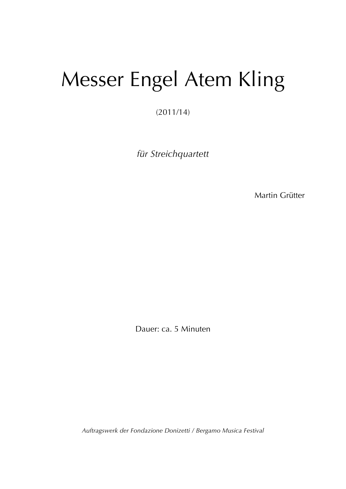# Messer Engel Atem Kling

(2011/14)

*für Streichquartett*

Martin Grütter

Dauer: ca. 5 Minuten

*Auftragswerk der Fondazione Donizetti / Bergamo Musica Festival*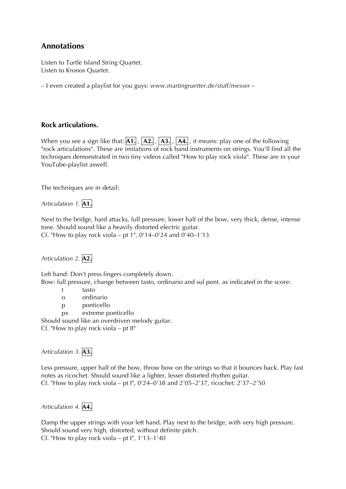## **Annotations**

Listen to Turtle Island String Quartet. Listen to Kronos Quartet.

– I even created a playlist for you guys: *www.martingruetter.de/stuff/messer –*

## **Rock articulations.**

When you see a sign like that:  $\overline{A1}$ ,  $\overline{A2}$ ,  $\overline{A3}$ ,  $\overline{A4}$ , it means: play one of the following "rock articulations". These are imitations of rock band instruments on strings. You'll find all the techniques demonstrated in two tiny videos called "How to play rock viola". These are in your YouTube-playlist aswell.

The techniques are in detail:

*Articulation 1.* **A1.**

Next to the bridge, hard attacks, full pressure, lower half of the bow, very thick, dense, intense tone. Should sound like a heavily distorted electric guitar. Cf. "How to play rock viola – pt  $1$ ",  $0'14-0'24$  and  $0'40-1'13$ 

*Articulation 2.* **A2.**

Left hand: Don't press fingers completely down. Bow: full pressure, change between tasto, ordinario and sul pont. as indicated in the score:

- t tasto
- o ordinario
- p ponticello
- px extreme ponticello

Should sound like an overdriven melody guitar.

Cf. "How to play rock viola – pt II"

## *Articulation 3.* **A3.**

Less pressure, upper half of the bow, throw bow on the strings so that it bounces back. Play fast notes as ricochet. Should sound like a lighter, lesser distorted rhythm guitar. Cf. "How to play rock viola – pt I", 0'24–0'38 and 2'05–2'37, ricochet: 2'37–2'50

## *Articulation 4.* **A4.**

Damp the upper strings with your left hand. Play next to the bridge, with very high pressure. Should sound very high, distorted, without definite pitch. Cf. "How to play rock viola – pt  $I$ ",  $1'13-1'40$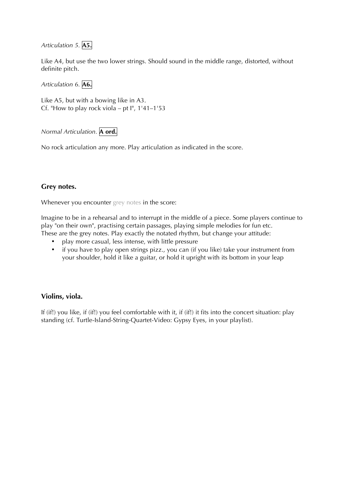*Articulation 5.* **A5.**

Like A4, but use the two lower strings. Should sound in the middle range, distorted, without definite pitch.

*Articulation 6.* **A6.**

Like A5, but with a bowing like in A3. Cf. "How to play rock viola – pt  $I$ ",  $1'41-1'53$ 

*Normal Articulation.* **A ord.**

No rock articulation any more. Play articulation as indicated in the score.

## **Grey notes.**

Whenever you encounter grey notes in the score:

Imagine to be in a rehearsal and to interrupt in the middle of a piece. Some players continue to play "on their own", practising certain passages, playing simple melodies for fun etc. These are the grey notes. Play exactly the notated rhythm, but change your attitude:

- play more casual, less intense, with little pressure
- if you have to play open strings pizz., you can (if you like) take your instrument from your shoulder, hold it like a guitar, or hold it upright with its bottom in your leap

#### **Violins, viola.**

If (if!) you like, if (if!) you feel comfortable with it, if (if!) it fits into the concert situation: play standing (cf. Turtle-Island-String-Quartet-Video: Gypsy Eyes, in your playlist).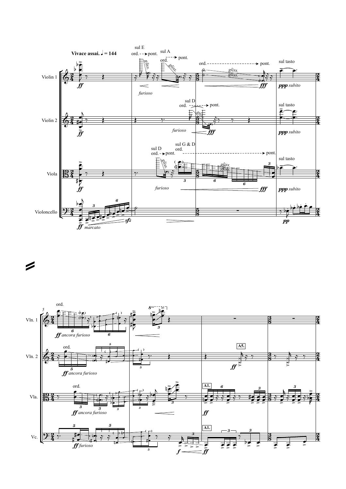

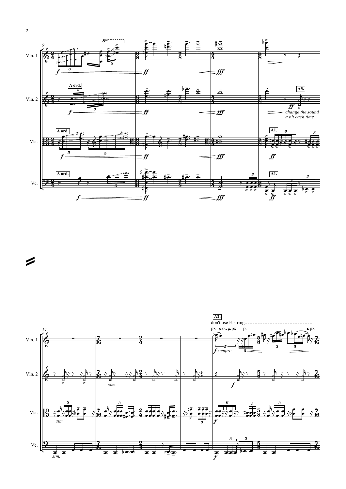

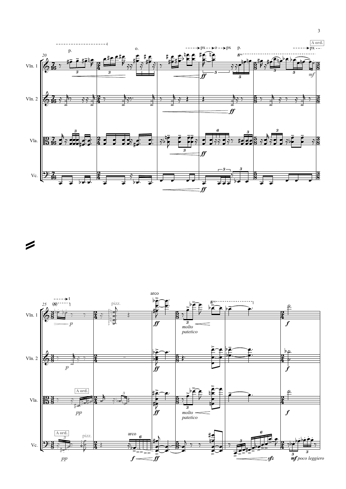



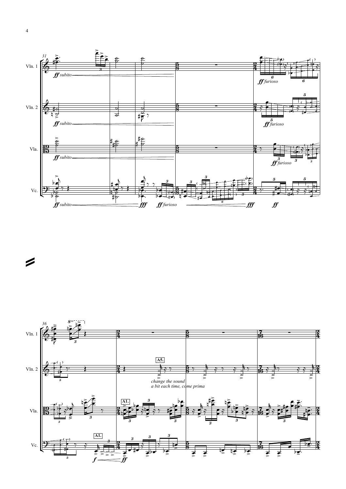